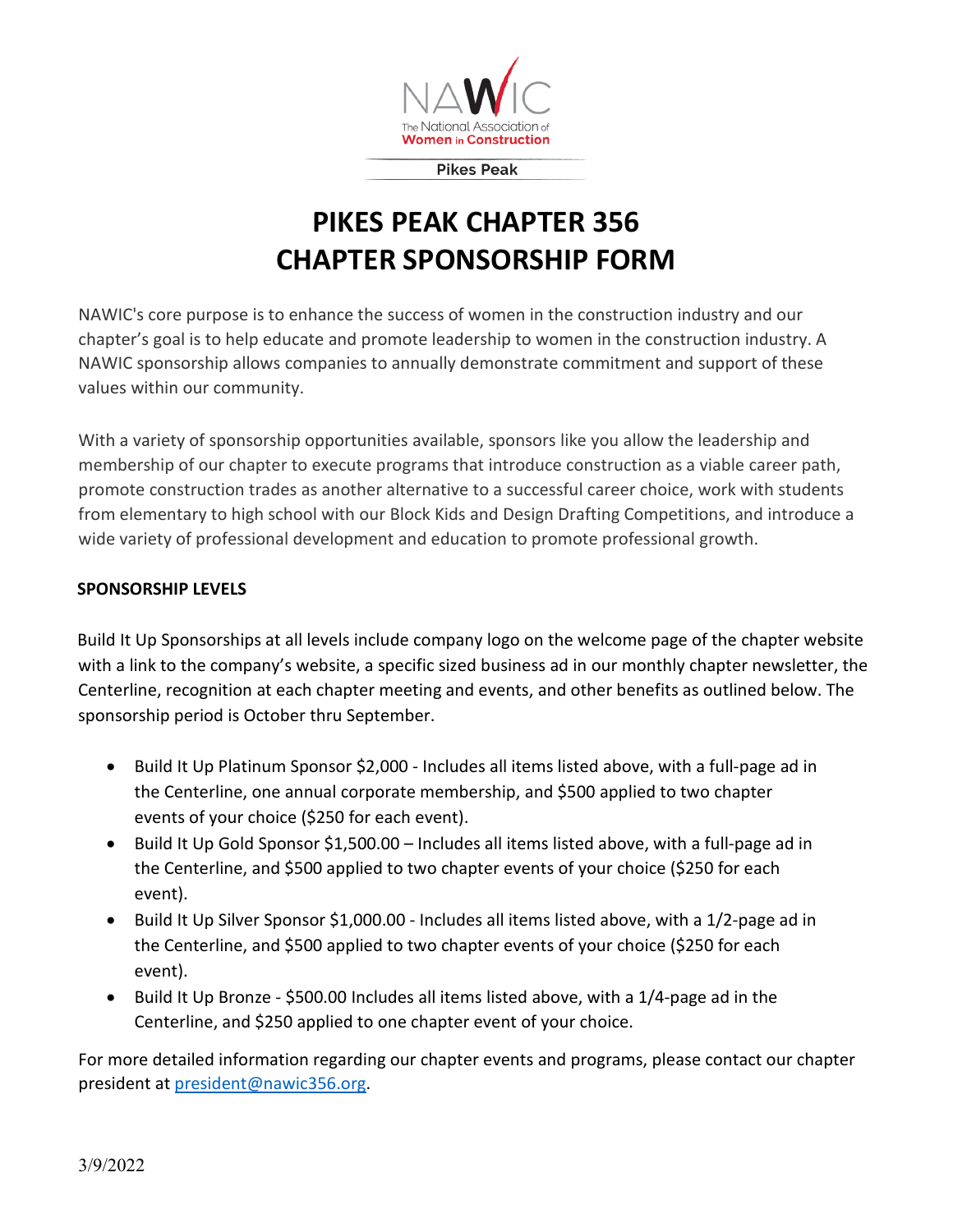

**Pikes Peak** 

## **PIKES PEAK CHAPTER 356 CHAPTER SPONSORSHIP FORM**

NAWIC's core purpose is to enhance the success of women in the construction industry and our chapter's goal is to help educate and promote leadership to women in the construction industry. A NAWIC sponsorship allows companies to annually demonstrate commitment and support of these values within our community.

With a variety of sponsorship opportunities available, sponsors like you allow the leadership and membership of our chapter to execute programs that introduce construction as a viable career path, promote construction trades as another alternative to a successful career choice, work with students from elementary to high school with our Block Kids and Design Drafting Competitions, and introduce a wide variety of professional development and education to promote professional growth.

## **SPONSORSHIP LEVELS**

Build It Up Sponsorships at all levels include company logo on the welcome page of the chapter website with a link to the company's website, a specific sized business ad in our monthly chapter newsletter, the Centerline, recognition at each chapter meeting and events, and other benefits as outlined below. The sponsorship period is October thru September.

- Build It Up Platinum Sponsor \$2,000 Includes all items listed above, with a full-page ad in the Centerline, one annual corporate membership, and \$500 applied to two chapter events of your choice (\$250 for each event).
- Build It Up Gold Sponsor \$1,500.00 Includes all items listed above, with a full-page ad in the Centerline, and \$500 applied to two chapter events of your choice (\$250 for each event).
- Build It Up Silver Sponsor \$1,000.00 Includes all items listed above, with a 1/2-page ad in the Centerline, and \$500 applied to two chapter events of your choice (\$250 for each event).
- Build It Up Bronze \$500.00 Includes all items listed above, with a 1/4-page ad in the Centerline, and \$250 applied to one chapter event of your choice.

For more detailed information regarding our chapter events and programs, please contact our chapter president at [president@nawic356.org.](mailto:president@nawic356.org)